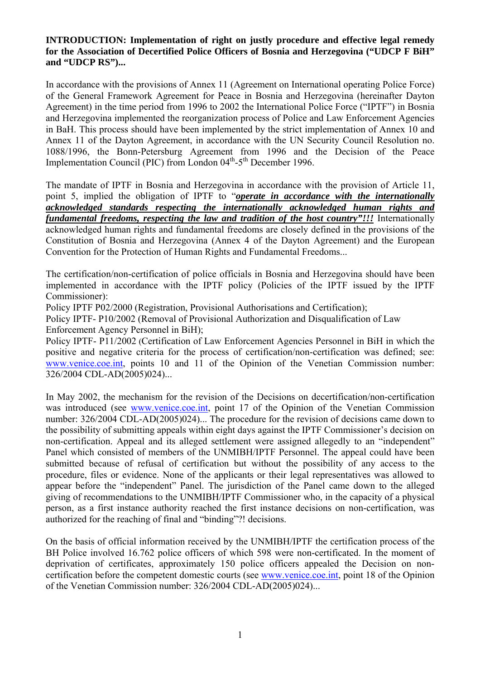## **INTRODUCTION: Implementation of right on justly procedure and effective legal remedy for the Association of Decertified Police Officers of Bosnia and Herzegovina ("UDCP F BiH" and "UDCP RS")...**

In accordance with the provisions of Annex 11 (Agreement on International operating Police Force) of the General Framework Agreement for Peace in Bosnia and Herzegovina (hereinafter Dayton Agreement) in the time period from 1996 to 2002 the International Police Force ("IPTF") in Bosnia and Herzegovina implemented the reorganization process of Police and Law Enforcement Agencies in BaH. This process should have been implemented by the strict implementation of Annex 10 and Annex 11 of the Dayton Agreement, in accordance with the UN Security Council Resolution no. 1088/1996, the Bonn-Petersburg Agreement from 1996 and the Decision of the Peace Implementation Council (PIC) from London  $04<sup>th</sup>-5<sup>th</sup>$  December 1996.

The mandate of IPTF in Bosnia and Herzegovina in accordance with the provision of Article 11, point 5, implied the obligation of IPTF to "*operate in accordance with the internationally acknowledged standards respecting the internationally acknowledged human rights and fundamental freedoms, respecting the law and tradition of the host country"!!!* Internationally acknowledged human rights and fundamental freedoms are closely defined in the provisions of the Constitution of Bosnia and Herzegovina (Annex 4 of the Dayton Agreement) and the European Convention for the Protection of Human Rights and Fundamental Freedoms...

The certification/non-certification of police officials in Bosnia and Herzegovina should have been implemented in accordance with the IPTF policy (Policies of the IPTF issued by the IPTF Commissioner):

Policy IPTF P02/2000 (Registration, Provisional Authorisations and Certification);

Policy IPTF- P10/2002 (Removal of Provisional Authorization and Disqualification of Law Enforcement Agency Personnel in BiH);

Policy IPTF- P11/2002 (Certification of Law Enforcement Agencies Personnel in BiH in which the positive and negative criteria for the process of certification/non-certification was defined; see: [www.venice.coe.int](http://www.venice.coe.int/), points 10 and 11 of the Opinion of the Venetian Commission number: 326/2004 CDL-AD(2005)024)...

In May 2002, the mechanism for the revision of the Decisions on decertification/non-certification was introduced (see [www.venice.coe.int,](http://www.venice.coe.int/) point 17 of the Opinion of the Venetian Commission number: 326/2004 CDL-AD(2005)024)... The procedure for the revision of decisions came down to the possibility of submitting appeals within eight days against the IPTF Commissioner's decision on non-certification. Appeal and its alleged settlement were assigned allegedly to an "independent" Panel which consisted of members of the UNMIBH/IPTF Personnel. The appeal could have been submitted because of refusal of certification but without the possibility of any access to the procedure, files or evidence. None of the applicants or their legal representatives was allowed to appear before the "independent" Panel. The jurisdiction of the Panel came down to the alleged giving of recommendations to the UNMIBH/IPTF Commissioner who, in the capacity of a physical person, as a first instance authority reached the first instance decisions on non-certification, was authorized for the reaching of final and "binding"?! decisions.

On the basis of official information received by the UNMIBH/IPTF the certification process of the BH Police involved 16.762 police officers of which 598 were non-certificated. In the moment of deprivation of certificates, approximately 150 police officers appealed the Decision on noncertification before the competent domestic courts (see [www.venice.coe.int](http://www.venice.coe.int/), point 18 of the Opinion of the Venetian Commission number: 326/2004 CDL-AD(2005)024)...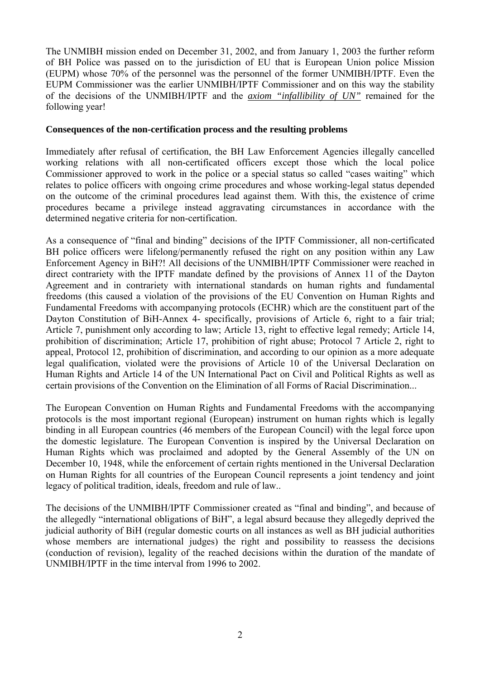The UNMIBH mission ended on December 31, 2002, and from January 1, 2003 the further reform of BH Police was passed on to the jurisdiction of EU that is European Union police Mission (EUPM) whose 70% of the personnel was the personnel of the former UNMIBH/IPTF. Even the EUPM Commissioner was the earlier UNMIBH/IPTF Commissioner and on this way the stability of the decisions of the UNMIBH/IPTF and the *axiom "infallibility of UN"* remained for the following year!

## **Consequences of the non-certification process and the resulting problems**

Immediately after refusal of certification, the BH Law Enforcement Agencies illegally cancelled working relations with all non-certificated officers except those which the local police Commissioner approved to work in the police or a special status so called "cases waiting" which relates to police officers with ongoing crime procedures and whose working-legal status depended on the outcome of the criminal procedures lead against them. With this, the existence of crime procedures became a privilege instead aggravating circumstances in accordance with the determined negative criteria for non-certification.

As a consequence of "final and binding" decisions of the IPTF Commissioner, all non-certificated BH police officers were lifelong/permanently refused the right on any position within any Law Enforcement Agency in BiH?! All decisions of the UNMIBH/IPTF Commissioner were reached in direct contrariety with the IPTF mandate defined by the provisions of Annex 11 of the Dayton Agreement and in contrariety with international standards on human rights and fundamental freedoms (this caused a violation of the provisions of the EU Convention on Human Rights and Fundamental Freedoms with accompanying protocols (ECHR) which are the constituent part of the Dayton Constitution of BiH-Annex 4- specifically, provisions of Article 6, right to a fair trial; Article 7, punishment only according to law; Article 13, right to effective legal remedy; Article 14, prohibition of discrimination; Article 17, prohibition of right abuse; Protocol 7 Article 2, right to appeal, Protocol 12, prohibition of discrimination, and according to our opinion as a more adequate legal qualification, violated were the provisions of Article 10 of the Universal Declaration on Human Rights and Article 14 of the UN International Pact on Civil and Political Rights as well as certain provisions of the Convention on the Elimination of all Forms of Racial Discrimination...

The European Convention on Human Rights and Fundamental Freedoms with the accompanying protocols is the most important regional (European) instrument on human rights which is legally binding in all European countries (46 members of the European Council) with the legal force upon the domestic legislature. The European Convention is inspired by the Universal Declaration on Human Rights which was proclaimed and adopted by the General Assembly of the UN on December 10, 1948, while the enforcement of certain rights mentioned in the Universal Declaration on Human Rights for all countries of the European Council represents a joint tendency and joint legacy of political tradition, ideals, freedom and rule of law..

The decisions of the UNMIBH/IPTF Commissioner created as "final and binding", and because of the allegedly "international obligations of BiH", a legal absurd because they allegedly deprived the judicial authority of BiH (regular domestic courts on all instances as well as BH judicial authorities whose members are international judges) the right and possibility to reassess the decisions (conduction of revision), legality of the reached decisions within the duration of the mandate of UNMIBH/IPTF in the time interval from 1996 to 2002.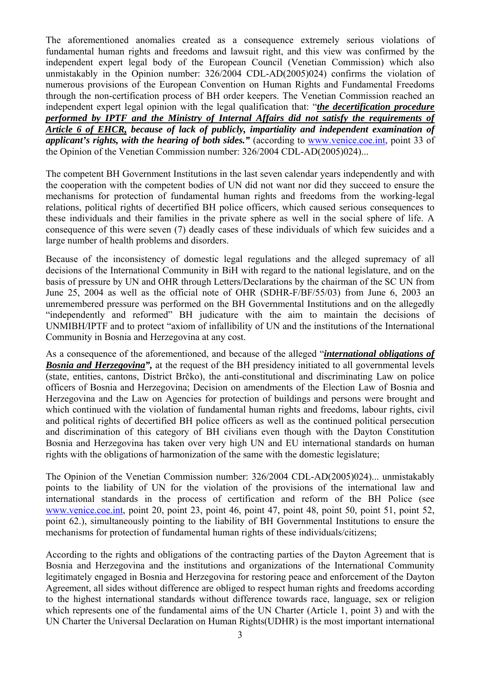The aforementioned anomalies created as a consequence extremely serious violations of fundamental human rights and freedoms and lawsuit right, and this view was confirmed by the independent expert legal body of the European Council (Venetian Commission) which also unmistakably in the Opinion number: 326/2004 CDL-AD(2005)024) confirms the violation of numerous provisions of the European Convention on Human Rights and Fundamental Freedoms through the non-certification process of BH order keepers. The Venetian Commission reached an independent expert legal opinion with the legal qualification that: "*the decertification procedure performed by IPTF and the Ministry of Internal Affairs did not satisfy the requirements of Article 6 of EHCR, because of lack of publicly, impartiality and independent examination of applicant's rights, with the hearing of both sides."* (according to [www.venice.coe.int,](http://www.venice.coe.int/) point 33 of the Opinion of the Venetian Commission number: 326/2004 CDL-AD(2005)024)...

The competent BH Government Institutions in the last seven calendar years independently and with the cooperation with the competent bodies of UN did not want nor did they succeed to ensure the mechanisms for protection of fundamental human rights and freedoms from the working-legal relations, political rights of decertified BH police officers, which caused serious consequences to these individuals and their families in the private sphere as well in the social sphere of life. A consequence of this were seven (7) deadly cases of these individuals of which few suicides and a large number of health problems and disorders.

Because of the inconsistency of domestic legal regulations and the alleged supremacy of all decisions of the International Community in BiH with regard to the national legislature, and on the basis of pressure by UN and OHR through Letters/Declarations by the chairman of the SC UN from June 25, 2004 as well as the official note of OHR (SDHR-F/BF/55/03) from June 6, 2003 an unremembered pressure was performed on the BH Governmental Institutions and on the allegedly "independently and reformed" BH judicature with the aim to maintain the decisions of UNMIBH/IPTF and to protect "axiom of infallibility of UN and the institutions of the International Community in Bosnia and Herzegovina at any cost.

As a consequence of the aforementioned, and because of the alleged "*international obligations of*  **Bosnia and Herzegovina",** at the request of the BH presidency initiated to all governmental levels (state, entities, cantons, District Brčko), the anti-constitutional and discriminating Law on police officers of Bosnia and Herzegovina; Decision on amendments of the Election Law of Bosnia and Herzegovina and the Law on Agencies for protection of buildings and persons were brought and which continued with the violation of fundamental human rights and freedoms, labour rights, civil and political rights of decertified BH police officers as well as the continued political persecution and discrimination of this category of BH civilians even though with the Dayton Constitution Bosnia and Herzegovina has taken over very high UN and EU international standards on human rights with the obligations of harmonization of the same with the domestic legislature;

The Opinion of the Venetian Commission number: 326/2004 CDL-AD(2005)024)... unmistakably points to the liability of UN for the violation of the provisions of the international law and international standards in the process of certification and reform of the BH Police (see [www.venice.coe.int](http://www.venice.coe.int/), point 20, point 23, point 46, point 47, point 48, point 50, point 51, point 52, point 62.), simultaneously pointing to the liability of BH Governmental Institutions to ensure the mechanisms for protection of fundamental human rights of these individuals/citizens;

According to the rights and obligations of the contracting parties of the Dayton Agreement that is Bosnia and Herzegovina and the institutions and organizations of the International Community legitimately engaged in Bosnia and Herzegovina for restoring peace and enforcement of the Dayton Agreement, all sides without difference are obliged to respect human rights and freedoms according to the highest international standards without difference towards race, language, sex or religion which represents one of the fundamental aims of the UN Charter (Article 1, point 3) and with the UN Charter the Universal Declaration on Human Rights(UDHR) is the most important international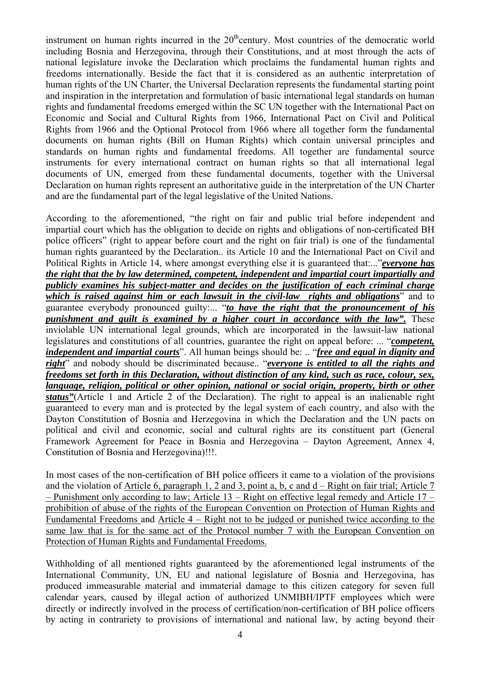instrument on human rights incurred in the  $20<sup>th</sup>$ century. Most countries of the democratic world including Bosnia and Herzegovina, through their Constitutions, and at most through the acts of national legislature invoke the Declaration which proclaims the fundamental human rights and freedoms internationally. Beside the fact that it is considered as an authentic interpretation of human rights of the UN Charter, the Universal Declaration represents the fundamental starting point and inspiration in the interpretation and formulation of basic international legal standards on human rights and fundamental freedoms emerged within the SC UN together with the International Pact on Economic and Social and Cultural Rights from 1966, International Pact on Civil and Political Rights from 1966 and the Optional Protocol from 1966 where all together form the fundamental documents on human rights (Bill on Human Rights) which contain universal principles and standards on human rights and fundamental freedoms. All together are fundamental source instruments for every international contract on human rights so that all international legal documents of UN, emerged from these fundamental documents, together with the Universal Declaration on human rights represent an authoritative guide in the interpretation of the UN Charter and are the fundamental part of the legal legislative of the United Nations.

According to the aforementioned, "the right on fair and public trial before independent and impartial court which has the obligation to decide on rights and obligations of non-certificated BH police officers" (right to appear before court and the right on fair trial) is one of the fundamental human rights guaranteed by the Declaration.. its Article 10 and the International Pact on Civil and Political Rights in Article 14, where amongst everything else it is guaranteed that:..."*everyone has the right that the by law determined, competent, independent and impartial court impartially and publicly examines his subject-matter and decides on the justification of each criminal charge which is raised against him or each lawsuit in the civil-law rights and obligations*" and to guarantee everybody pronounced guilty:... "*to have the right that the pronouncement of his punishment and guilt is examined by a higher court in accordance with the law".* These inviolable UN international legal grounds, which are incorporated in the lawsuit-law national legislatures and constitutions of all countries, guarantee the right on appeal before: ... "*competent, independent and impartial courts*". All human beings should be: .. "*free and equal in dignity and right*" and nobody should be discriminated because.. "*everyone is entitled to all the rights and freedoms set forth in this Declaration, without distinction of any kind, such as race, colour, sex, language, religion, political or other opinion, national or social origin, property, birth or other status"*(Article 1 and Article 2 of the Declaration). The right to appeal is an inalienable right guaranteed to every man and is protected by the legal system of each country, and also with the Dayton Constitution of Bosnia and Herzegovina in which the Declaration and the UN pacts on political and civil and economic, social and cultural rights are its constituent part (General Framework Agreement for Peace in Bosnia and Herzegovina – Dayton Agreement, Annex 4, Constitution of Bosnia and Herzegovina)!!!.

In most cases of the non-certification of BH police officers it came to a violation of the provisions and the violation of Article 6, paragraph 1, 2 and 3, point a, b, c and d – Right on fair trial; Article 7 – Punishment only according to law; Article 13 – Right on effective legal remedy and Article 17 – prohibition of abuse of the rights of the European Convention on Protection of Human Rights and Fundamental Freedoms and Article 4 – Right not to be judged or punished twice according to the same law that is for the same act of the Protocol number 7 with the European Convention on Protection of Human Rights and Fundamental Freedoms.

Withholding of all mentioned rights guaranteed by the aforementioned legal instruments of the International Community, UN, EU and national legislature of Bosnia and Herzegovina, has produced immeasurable material and immaterial damage to this citizen category for seven full calendar years, caused by illegal action of authorized UNMIBH/IPTF employees which were directly or indirectly involved in the process of certification/non-certification of BH police officers by acting in contrariety to provisions of international and national law, by acting beyond their